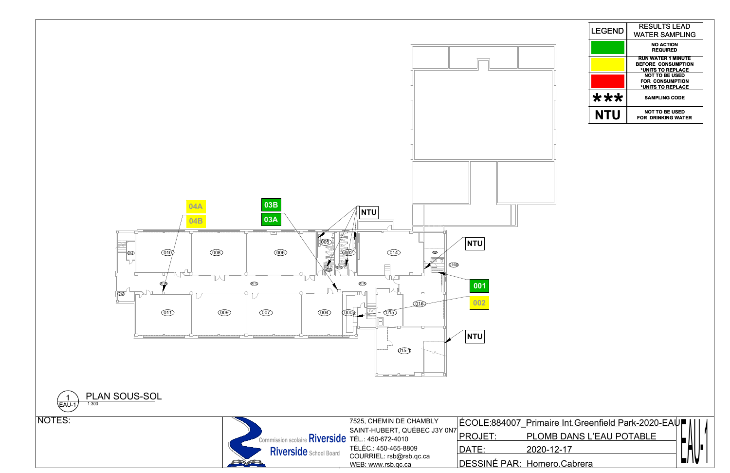

| <b>LEGEND</b> | <b>RESULTS LEAD</b><br><b>WATER SAMPLING</b>                                |
|---------------|-----------------------------------------------------------------------------|
|               | <b>NO ACTION</b><br><b>REQUIRED</b>                                         |
|               | <b>RUN WATER 1 MINUTE</b><br><b>BEFORE CONSUMPTION</b><br>*UNITS TO REPLACE |
|               | <b>NOT TO BE USED</b><br><b>FOR CONSUMPTION</b><br>*UNITS TO REPLACE        |
| ***           | <b>SAMPLING CODE</b>                                                        |
| NTU           | NOT TO BE USED<br><b>FOR DRINKING WATER</b>                                 |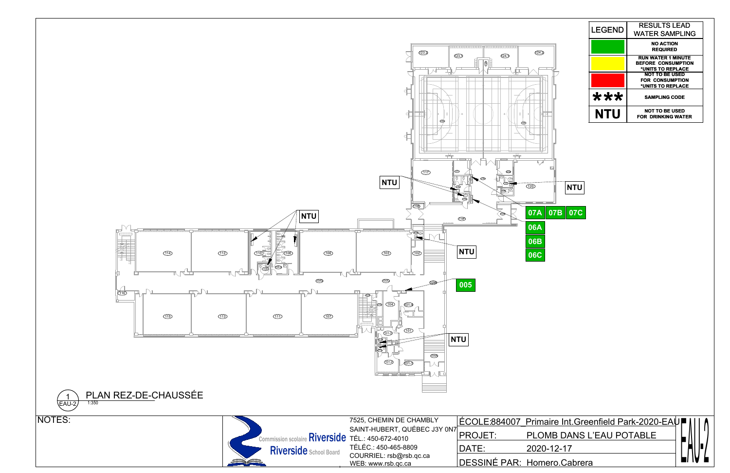